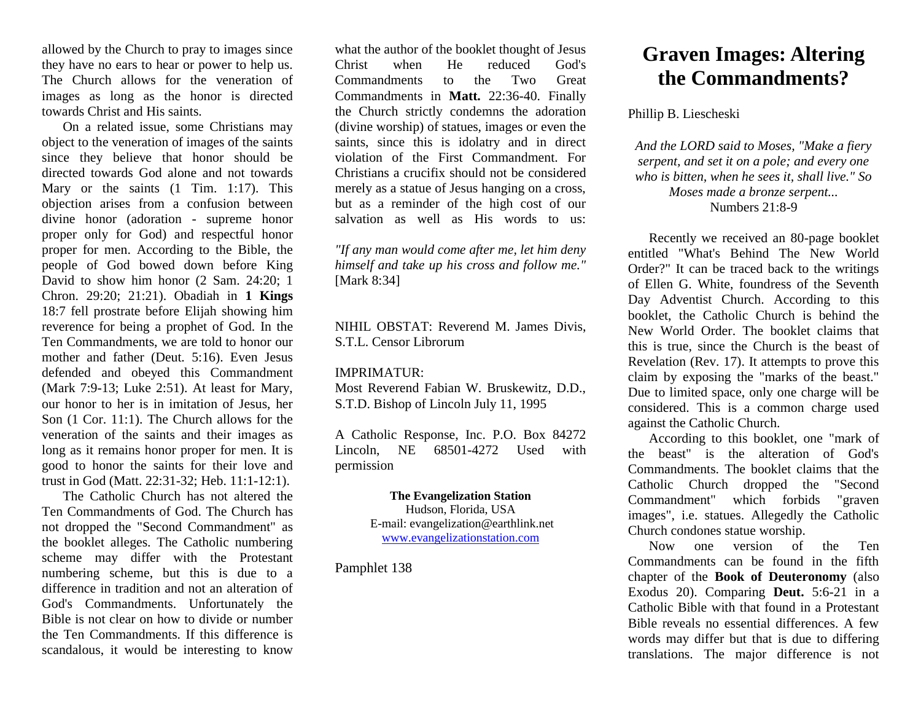allowed by the Church to pray to images since they have no ears to hear or power to help us. The Church allows for the veneration of images as long as the honor is directed towards Christ and His saints.

On a related issue, some Christians may object to the veneration of images of the saints since they believe that honor should be directed towards God alone and not towards Mary or the saints  $(1$  Tim. 1:17). This objection arises from a confusion between divine honor (adoration - supreme honor proper only for God) and respectful honor proper for men. According to the Bible, the people of God bowed down before King David to show him honor (2 Sam. 24:20; 1 Chron. 29:20; 21:21). Obadiah in **1 Kings** 18:7 fell prostrate before Elijah showing him reverence for being a prophet of God. In the Ten Commandments, we are told to honor our mother and father (Deut. 5:16). Even Jesus defended and obeyed this Commandment (Mark 7:9-13; Luke 2:51). At least for Mary, our honor to her is in imitation of Jesus, her Son (1 Cor. 11:1). The Church allows for the veneration of the saints and their images as long as it remains honor proper for men. It is good to honor the saints for their love and trust in God (Matt. 22:31-32; Heb. 11:1-12:1).

The Catholic Church has not altered the Ten Commandments of God. The Church has not dropped the "Second Commandment" as the booklet alleges. The Catholic numbering scheme may differ with the Protestant numbering scheme, but this is due to a difference in tradition and not an alteration of God's Commandments. Unfortunately the Bible is not clear on how to divide or number the Ten Commandments. If this difference is scandalous, it would be interesting to know

what the author of the booklet thought of Jesus Christ when He reduced God's Commandments to the Two Great Commandments in **Matt.** 22:36-40. Finally the Church strictly condemns the adoration (divine worship) of statues, images or even the saints, since this is idolatry and in direct violation of the First Commandment. For Christians a crucifix should not be considered merely as a statue of Jesus hanging on a cross, but as a reminder of the high cost of our salvation as well as His words to us:

*"If any man would come after me, let him deny himself and take up his cross and follow me."* [Mark 8:34]

NIHIL OBSTAT: Reverend M. James Divis, S.T.L. Censor Librorum

## IMPRIMATUR:

Most Reverend Fabian W. Bruskewitz, D.D., S.T.D. Bishop of Lincoln July 11, 1995

A Catholic Response, Inc. P.O. Box 84272 Lincoln, NE 68501-4272 Used with permission

## **The Evangelization Station** Hudson, Florida, USA E-mail: evangelization@earthlink.net [www.evangelizationstation.com](http://www.pjpiisoe.org/)

Pamphlet 138

## **Graven Images: Altering the Commandments?**

## Phillip B. Liescheski

*And the LORD said to Moses, "Make a fiery serpent, and set it on a pole; and every one who is bitten, when he sees it, shall live." So Moses made a bronze serpent...* Numbers 21:8-9

Recently we received an 80-page booklet entitled "What's Behind The New World Order?" It can be traced back to the writings of Ellen G. White, foundress of the Seventh Day Adventist Church. According to this booklet, the Catholic Church is behind the New World Order. The booklet claims that this is true, since the Church is the beast of Revelation (Rev. 17). It attempts to prove this claim by exposing the "marks of the beast." Due to limited space, only one charge will be considered. This is a common charge used against the Catholic Church.

According to this booklet, one "mark of the beast" is the alteration of God's Commandments. The booklet claims that the Catholic Church dropped the "Second Commandment" which forbids "graven images", i.e. statues. Allegedly the Catholic Church condones statue worship.

Now one version of the Ten Commandments can be found in the fifth chapter of the **Book of Deuteronomy** (also Exodus 20). Comparing **Deut.** 5:6-21 in a Catholic Bible with that found in a Protestant Bible reveals no essential differences. A few words may differ but that is due to differing translations. The major difference is not